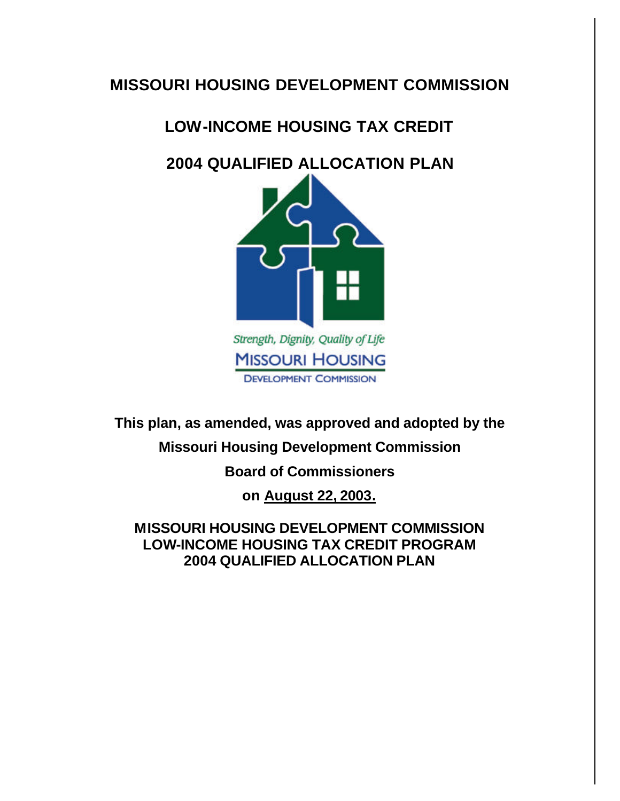# **MISSOURI HOUSING DEVELOPMENT COMMISSION**

# **LOW-INCOME HOUSING TAX CREDIT**

# **2004 QUALIFIED ALLOCATION PLAN**



**This plan, as amended, was approved and adopted by the** 

# **Missouri Housing Development Commission**

# **Board of Commissioners**

**on August 22, 2003.**

**MISSOURI HOUSING DEVELOPMENT COMMISSION LOW-INCOME HOUSING TAX CREDIT PROGRAM 2004 QUALIFIED ALLOCATION PLAN**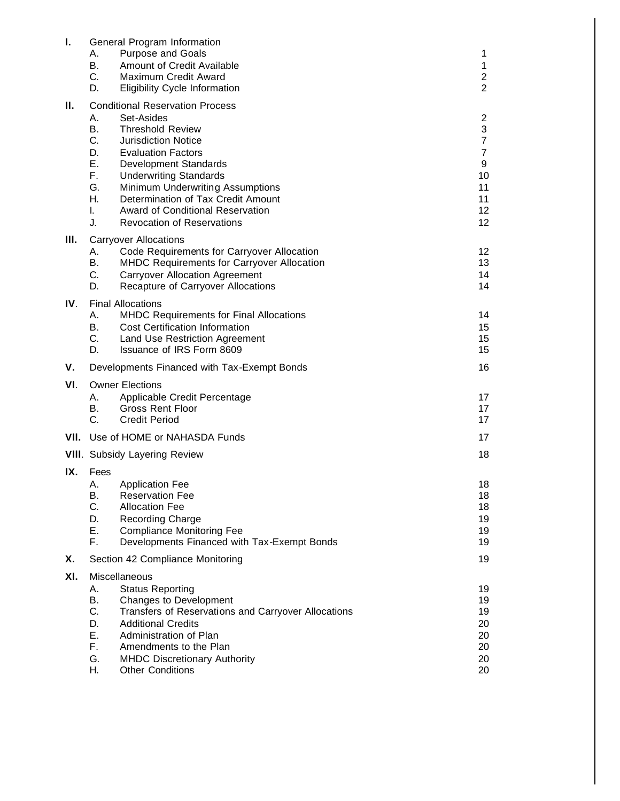| Τ.   | А.<br>В.<br>C.<br>D.                                     | General Program Information<br><b>Purpose and Goals</b><br>Amount of Credit Available<br>Maximum Credit Award<br><b>Eligibility Cycle Information</b>                                                                                                                                                                                                          | 1<br>$\mathbf{1}$<br>$\overline{c}$<br>$\overline{2}$                                                              |  |
|------|----------------------------------------------------------|----------------------------------------------------------------------------------------------------------------------------------------------------------------------------------------------------------------------------------------------------------------------------------------------------------------------------------------------------------------|--------------------------------------------------------------------------------------------------------------------|--|
| Ш.   | Α.<br>В.<br>C.<br>D.<br>Е.<br>F.<br>G.<br>Η.<br>I.<br>J. | <b>Conditional Reservation Process</b><br>Set-Asides<br><b>Threshold Review</b><br><b>Jurisdiction Notice</b><br><b>Evaluation Factors</b><br>Development Standards<br><b>Underwriting Standards</b><br>Minimum Underwriting Assumptions<br>Determination of Tax Credit Amount<br><b>Award of Conditional Reservation</b><br><b>Revocation of Reservations</b> | $\overline{\mathbf{c}}$<br>3<br>$\overline{7}$<br>$\overline{7}$<br>$\boldsymbol{9}$<br>10<br>11<br>11<br>12<br>12 |  |
| III. | Α.<br>В.<br>C.<br>D.                                     | <b>Carryover Allocations</b><br>Code Requirements for Carryover Allocation<br><b>MHDC Requirements for Carryover Allocation</b><br><b>Carryover Allocation Agreement</b><br>Recapture of Carryover Allocations                                                                                                                                                 | 12<br>13<br>14<br>14                                                                                               |  |
| IV.  | Α.<br>В.<br>C.<br>D.                                     | <b>Final Allocations</b><br><b>MHDC Requirements for Final Allocations</b><br><b>Cost Certification Information</b><br><b>Land Use Restriction Agreement</b><br>Issuance of IRS Form 8609                                                                                                                                                                      | 14<br>15<br>15<br>15                                                                                               |  |
| v.   | Developments Financed with Tax-Exempt Bonds              |                                                                                                                                                                                                                                                                                                                                                                | 16                                                                                                                 |  |
| VI.  | А.<br>В.<br>C.                                           | <b>Owner Elections</b><br>Applicable Credit Percentage<br><b>Gross Rent Floor</b><br><b>Credit Period</b>                                                                                                                                                                                                                                                      | 17<br>17<br>17                                                                                                     |  |
|      | <b>VII.</b> Use of HOME or NAHASDA Funds                 |                                                                                                                                                                                                                                                                                                                                                                | 17                                                                                                                 |  |
|      | 18<br><b>VIII.</b> Subsidy Layering Review               |                                                                                                                                                                                                                                                                                                                                                                |                                                                                                                    |  |
| IX.  | Fees<br>Α.<br>В.<br>C.<br>D.<br>Е.<br>F.                 | <b>Application Fee</b><br><b>Reservation Fee</b><br><b>Allocation Fee</b><br>Recording Charge<br><b>Compliance Monitoring Fee</b><br>Developments Financed with Tax-Exempt Bonds                                                                                                                                                                               | 18<br>18<br>18<br>19<br>19<br>19                                                                                   |  |
| Х.   |                                                          | 19<br>Section 42 Compliance Monitoring                                                                                                                                                                                                                                                                                                                         |                                                                                                                    |  |
| XI.  | Α.<br>В.<br>C.<br>D.<br>Е.<br>F.<br>G.<br>Н.             | Miscellaneous<br><b>Status Reporting</b><br>Changes to Development<br>Transfers of Reservations and Carryover Allocations<br><b>Additional Credits</b><br>Administration of Plan<br>Amendments to the Plan<br><b>MHDC Discretionary Authority</b><br><b>Other Conditions</b>                                                                                   | 19<br>19<br>19<br>20<br>20<br>20<br>20<br>20                                                                       |  |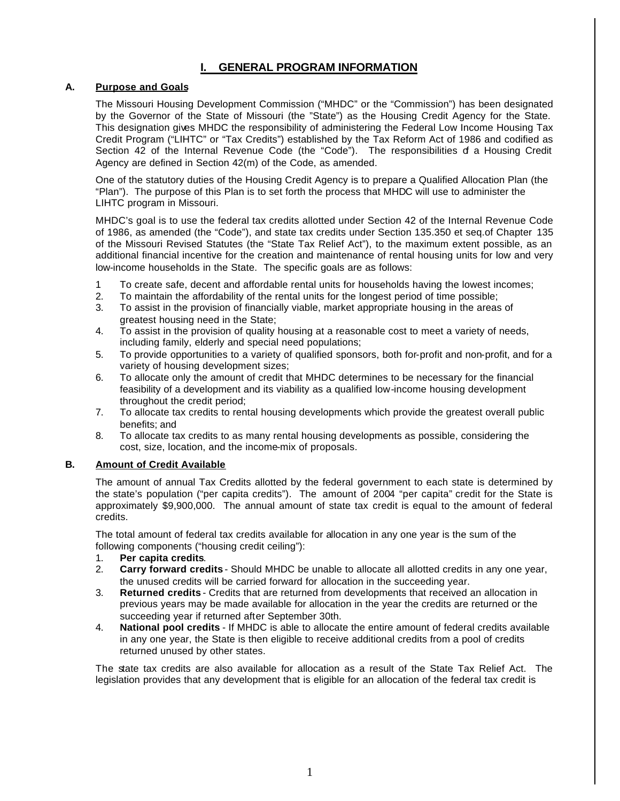# **I. GENERAL PROGRAM INFORMATION**

#### **A. Purpose and Goals**

The Missouri Housing Development Commission ("MHDC" or the "Commission") has been designated by the Governor of the State of Missouri (the "State") as the Housing Credit Agency for the State. This designation gives MHDC the responsibility of administering the Federal Low Income Housing Tax Credit Program ("LIHTC" or "Tax Credits") established by the Tax Reform Act of 1986 and codified as Section 42 of the Internal Revenue Code (the "Code"). The responsibilities d a Housing Credit Agency are defined in Section 42(m) of the Code, as amended.

One of the statutory duties of the Housing Credit Agency is to prepare a Qualified Allocation Plan (the "Plan"). The purpose of this Plan is to set forth the process that MHDC will use to administer the LIHTC program in Missouri.

MHDC's goal is to use the federal tax credits allotted under Section 42 of the Internal Revenue Code of 1986, as amended (the "Code"), and state tax credits under Section 135.350 et seq.of Chapter 135 of the Missouri Revised Statutes (the "State Tax Relief Act"), to the maximum extent possible, as an additional financial incentive for the creation and maintenance of rental housing units for low and very low-income households in the State. The specific goals are as follows:

- 1 To create safe, decent and affordable rental units for households having the lowest incomes;
- 2. To maintain the affordability of the rental units for the longest period of time possible;
- 3. To assist in the provision of financially viable, market appropriate housing in the areas of greatest housing need in the State;
- 4. To assist in the provision of quality housing at a reasonable cost to meet a variety of needs, including family, elderly and special need populations;
- 5. To provide opportunities to a variety of qualified sponsors, both for-profit and non-profit, and for a variety of housing development sizes;
- 6. To allocate only the amount of credit that MHDC determines to be necessary for the financial feasibility of a development and its viability as a qualified low-income housing development throughout the credit period;
- 7. To allocate tax credits to rental housing developments which provide the greatest overall public benefits; and
- 8. To allocate tax credits to as many rental housing developments as possible, considering the cost, size, location, and the income-mix of proposals.

#### **B. Amount of Credit Available**

The amount of annual Tax Credits allotted by the federal government to each state is determined by the state's population ("per capita credits"). The amount of 2004 "per capita" credit for the State is approximately \$9,900,000. The annual amount of state tax credit is equal to the amount of federal credits.

The total amount of federal tax credits available for allocation in any one year is the sum of the following components ("housing credit ceiling"):

- 1. **Per capita credits**.
- 2. **Carry forward credits** Should MHDC be unable to allocate all allotted credits in any one year, the unused credits will be carried forward for allocation in the succeeding year.
- 3. **Returned credits** Credits that are returned from developments that received an allocation in previous years may be made available for allocation in the year the credits are returned or the succeeding year if returned after September 30th.
- 4. **National pool credits** If MHDC is able to allocate the entire amount of federal credits available in any one year, the State is then eligible to receive additional credits from a pool of credits returned unused by other states.

The state tax credits are also available for allocation as a result of the State Tax Relief Act. The legislation provides that any development that is eligible for an allocation of the federal tax credit is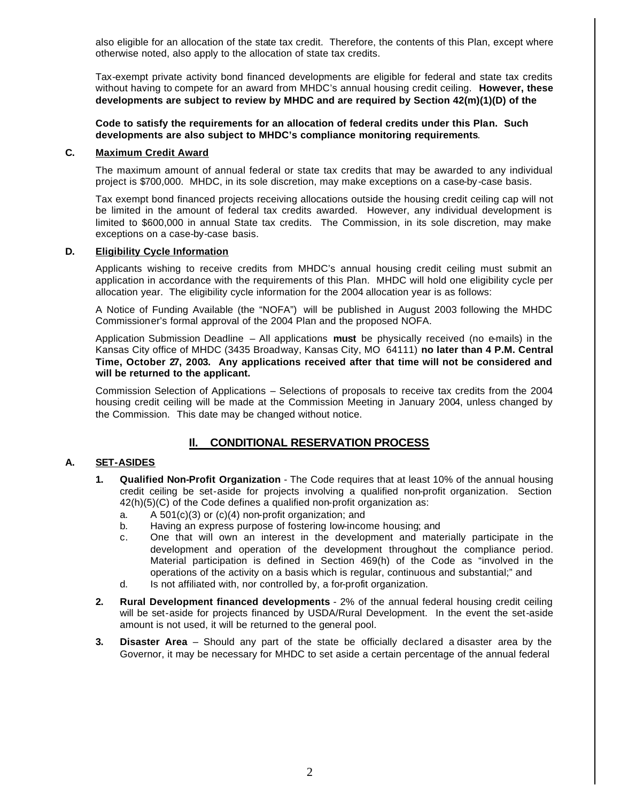also eligible for an allocation of the state tax credit. Therefore, the contents of this Plan, except where otherwise noted, also apply to the allocation of state tax credits.

Tax-exempt private activity bond financed developments are eligible for federal and state tax credits without having to compete for an award from MHDC's annual housing credit ceiling. **However, these developments are subject to review by MHDC and are required by Section 42(m)(1)(D) of the** 

**Code to satisfy the requirements for an allocation of federal credits under this Plan. Such developments are also subject to MHDC's compliance monitoring requirements**.

#### **C. Maximum Credit Award**

The maximum amount of annual federal or state tax credits that may be awarded to any individual project is \$700,000. MHDC, in its sole discretion, may make exceptions on a case-by -case basis.

Tax exempt bond financed projects receiving allocations outside the housing credit ceiling cap will not be limited in the amount of federal tax credits awarded. However, any individual development is limited to \$600,000 in annual State tax credits. The Commission, in its sole discretion, may make exceptions on a case-by-case basis.

#### **D. Eligibility Cycle Information**

Applicants wishing to receive credits from MHDC's annual housing credit ceiling must submit an application in accordance with the requirements of this Plan. MHDC will hold one eligibility cycle per allocation year. The eligibility cycle information for the 2004 allocation year is as follows:

A Notice of Funding Available (the "NOFA") will be published in August 2003 following the MHDC Commissioner's formal approval of the 2004 Plan and the proposed NOFA.

Application Submission Deadline – All applications **must** be physically received (no e-mails) in the Kansas City office of MHDC (3435 Broadway, Kansas City, MO 64111) **no later than 4 P.M. Central Time, October 27, 2003. Any applications received after that time will not be considered and will be returned to the applicant.**

Commission Selection of Applications – Selections of proposals to receive tax credits from the 2004 housing credit ceiling will be made at the Commission Meeting in January 2004, unless changed by the Commission. This date may be changed without notice.

## **Il. CONDITIONAL RESERVATION PROCESS**

#### **A. SET-ASIDES**

- **1. Qualified Non-Profit Organization** The Code requires that at least 10% of the annual housing credit ceiling be set-aside for projects involving a qualified non-profit organization. Section 42(h)(5)(C) of the Code defines a qualified non-profit organization as:
	- a. A 501(c)(3) or (c)(4) non-profit organization; and
	- b. Having an express purpose of fostering low-income housing; and
	- c. One that will own an interest in the development and materially participate in the development and operation of the development throughout the compliance period. Material participation is defined in Section 469(h) of the Code as "involved in the operations of the activity on a basis which is regular, continuous and substantial;" and
	- d. Is not affiliated with, nor controlled by, a for-profit organization.
- **2. Rural Development financed developments** 2% of the annual federal housing credit ceiling will be set-aside for projects financed by USDA/Rural Development. In the event the set-aside amount is not used, it will be returned to the general pool.
- **3. Disaster Area** Should any part of the state be officially declared a disaster area by the Governor, it may be necessary for MHDC to set aside a certain percentage of the annual federal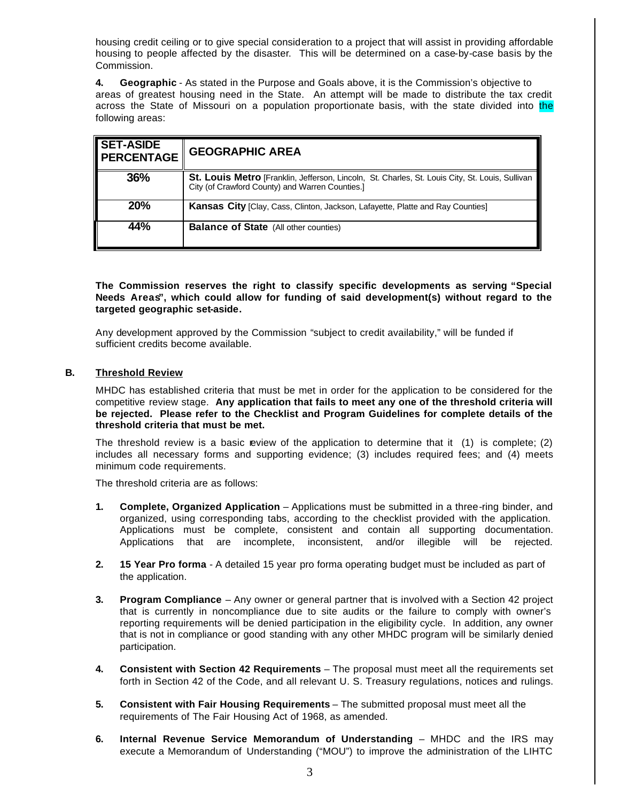housing credit ceiling or to give special consideration to a project that will assist in providing affordable housing to people affected by the disaster. This will be determined on a case-by-case basis by the Commission.

**4. Geographic** - As stated in the Purpose and Goals above, it is the Commission's objective to areas of greatest housing need in the State. An attempt will be made to distribute the tax credit across the State of Missouri on a population proportionate basis, with the state divided into the following areas:

| <b>SET-ASIDE</b><br><b>PERCENTAGE</b> | <b>GEOGRAPHIC AREA</b>                                                                                                                                    |
|---------------------------------------|-----------------------------------------------------------------------------------------------------------------------------------------------------------|
| 36%                                   | <b>St. Louis Metro</b> [Franklin, Jefferson, Lincoln, St. Charles, St. Louis City, St. Louis, Sullivan<br>City (of Crawford County) and Warren Counties.] |
| <b>20%</b>                            | <b>Kansas City</b> [Clay, Cass, Clinton, Jackson, Lafayette, Platte and Ray Counties]                                                                     |
| 44%                                   | <b>Balance of State</b> (All other counties)                                                                                                              |

#### **The Commission reserves the right to classify specific developments as serving "Special Needs Areas", which could allow for funding of said development(s) without regard to the targeted geographic set-aside.**

Any development approved by the Commission "subject to credit availability," will be funded if sufficient credits become available.

#### **B. Threshold Review**

MHDC has established criteria that must be met in order for the application to be considered for the competitive review stage. **Any application that fails to meet any one of the threshold criteria will be rejected. Please refer to the Checklist and Program Guidelines for complete details of the threshold criteria that must be met.**

The threshold review is a basic review of the application to determine that it  $(1)$  is complete;  $(2)$ includes all necessary forms and supporting evidence; (3) includes required fees; and (4) meets minimum code requirements.

The threshold criteria are as follows:

- **1. Complete, Organized Application** Applications must be submitted in a three-ring binder, and organized, using corresponding tabs, according to the checklist provided with the application. Applications must be complete, consistent and contain all supporting documentation. Applications that are incomplete, inconsistent, and/or illegible will be rejected.
- **2. 15 Year Pro forma** A detailed 15 year pro forma operating budget must be included as part of the application.
- **3. Program Compliance** Any owner or general partner that is involved with a Section 42 project that is currently in noncompliance due to site audits or the failure to comply with owner's reporting requirements will be denied participation in the eligibility cycle. In addition, any owner that is not in compliance or good standing with any other MHDC program will be similarly denied participation.
- **4. Consistent with Section 42 Requirements** The proposal must meet all the requirements set forth in Section 42 of the Code, and all relevant U. S. Treasury regulations, notices and rulings.
- **5. Consistent with Fair Housing Requirements** The submitted proposal must meet all the requirements of The Fair Housing Act of 1968, as amended.
- **6. Internal Revenue Service Memorandum of Understanding** MHDC and the IRS may execute a Memorandum of Understanding ("MOU") to improve the administration of the LIHTC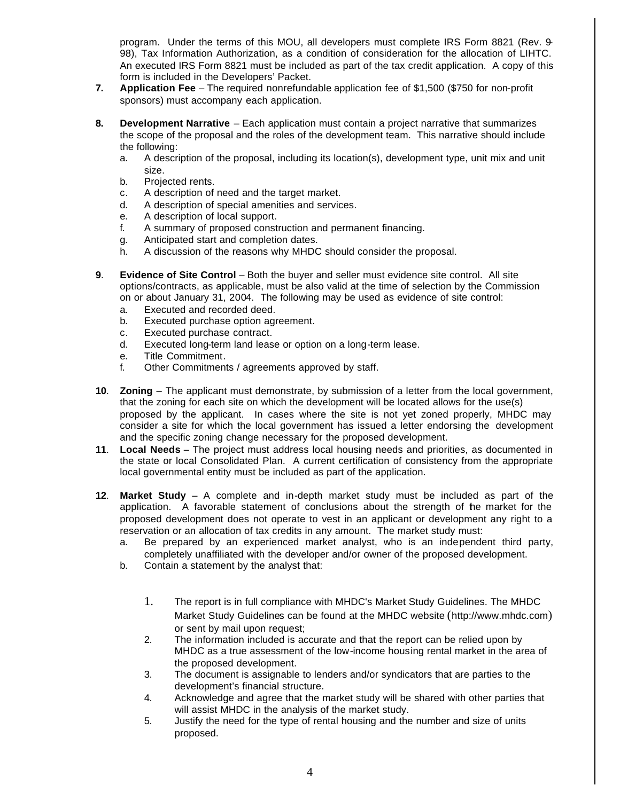program. Under the terms of this MOU, all developers must complete IRS Form 8821 (Rev. 9- 98), Tax Information Authorization, as a condition of consideration for the allocation of LIHTC. An executed IRS Form 8821 must be included as part of the tax credit application. A copy of this form is included in the Developers' Packet.

- **7. Application Fee** The required nonrefundable application fee of \$1,500 (\$750 for non-profit sponsors) must accompany each application.
- **8. Development Narrative** Each application must contain a project narrative that summarizes the scope of the proposal and the roles of the development team. This narrative should include the following:
	- a. A description of the proposal, including its location(s), development type, unit mix and unit size.
	- b. Projected rents.
	- c. A description of need and the target market.
	- d. A description of special amenities and services.
	- e. A description of local support.
	- f. A summary of proposed construction and permanent financing.
	- g. Anticipated start and completion dates.
	- h. A discussion of the reasons why MHDC should consider the proposal.
- **9**. **Evidence of Site Control** Both the buyer and seller must evidence site control. All site options/contracts, as applicable, must be also valid at the time of selection by the Commission on or about January 31, 2004. The following may be used as evidence of site control:
	- a. Executed and recorded deed.
	- b. Executed purchase option agreement.
	- c. Executed purchase contract.
	- d. Executed long-term land lease or option on a long-term lease.
	- e. Title Commitment.
	- f. Other Commitments / agreements approved by staff.
- **10**. **Zoning** The applicant must demonstrate, by submission of a letter from the local government, that the zoning for each site on which the development will be located allows for the use(s) proposed by the applicant. In cases where the site is not yet zoned properly, MHDC may consider a site for which the local government has issued a letter endorsing the development and the specific zoning change necessary for the proposed development.
- **11**. **Local Needs** The project must address local housing needs and priorities, as documented in the state or local Consolidated Plan. A current certification of consistency from the appropriate local governmental entity must be included as part of the application.
- **12**. **Market Study** A complete and in-depth market study must be included as part of the application. A favorable statement of conclusions about the strength of the market for the proposed development does not operate to vest in an applicant or development any right to a reservation or an allocation of tax credits in any amount. The market study must:
	- a. Be prepared by an experienced market analyst, who is an independent third party, completely unaffiliated with the developer and/or owner of the proposed development.
	- b. Contain a statement by the analyst that:
		- 1. The report is in full compliance with MHDC's Market Study Guidelines. The MHDC Market Study Guidelines can be found at the MHDC website (http://www.mhdc.com) or sent by mail upon request;
		- 2. The information included is accurate and that the report can be relied upon by MHDC as a true assessment of the low-income housing rental market in the area of the proposed development.
		- 3. The document is assignable to lenders and/or syndicators that are parties to the development's financial structure.
		- 4. Acknowledge and agree that the market study will be shared with other parties that will assist MHDC in the analysis of the market study.
		- 5. Justify the need for the type of rental housing and the number and size of units proposed.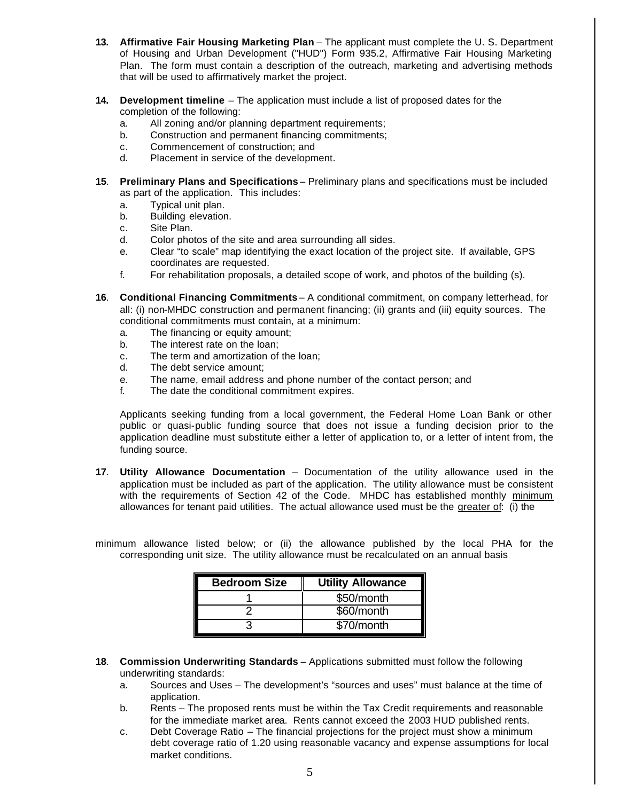- **13. Affirmative Fair Housing Marketing Plan** The applicant must complete the U. S. Department of Housing and Urban Development ("HUD") Form 935.2, Affirmative Fair Housing Marketing Plan. The form must contain a description of the outreach, marketing and advertising methods that will be used to affirmatively market the project.
- **14. Development timeline** The application must include a list of proposed dates for the completion of the following:
	- a. All zoning and/or planning department requirements;
	- b. Construction and permanent financing commitments;
	- c. Commencement of construction; and
	- d. Placement in service of the development.
- **15**. **Preliminary Plans and Specifications** Preliminary plans and specifications must be included as part of the application. This includes:
	- a. Typical unit plan.
	- b. Building elevation.
	- c. Site Plan.
	- d. Color photos of the site and area surrounding all sides.
	- e. Clear "to scale" map identifying the exact location of the project site. If available, GPS coordinates are requested.
	- f. For rehabilitation proposals, a detailed scope of work, and photos of the building (s).
- **16**. **Conditional Financing Commitments** A conditional commitment, on company letterhead, for all: (i) non-MHDC construction and permanent financing; (ii) grants and (iii) equity sources. The conditional commitments must contain, at a minimum:
	- a. The financing or equity amount;
	- b. The interest rate on the loan;
	- c. The term and amortization of the loan;
	- d. The debt service amount;
	- e. The name, email address and phone number of the contact person; and
	- f. The date the conditional commitment expires.

Applicants seeking funding from a local government, the Federal Home Loan Bank or other public or quasi-public funding source that does not issue a funding decision prior to the application deadline must substitute either a letter of application to, or a letter of intent from, the funding source.

**17**. **Utility Allowance Documentation** – Documentation of the utility allowance used in the application must be included as part of the application. The utility allowance must be consistent with the requirements of Section 42 of the Code. MHDC has established monthly minimum allowances for tenant paid utilities. The actual allowance used must be the greater of: (i) the

minimum allowance listed below; or (ii) the allowance published by the local PHA for the corresponding unit size. The utility allowance must be recalculated on an annual basis

| <b>Bedroom Size</b> | <b>Utility Allowance</b> |
|---------------------|--------------------------|
|                     | \$50/month               |
|                     | \$60/month               |
|                     | \$70/month               |

- **18**. **Commission Underwriting Standards** Applications submitted must follow the following underwriting standards:
	- a. Sources and Uses The development's "sources and uses" must balance at the time of application.
	- b. Rents The proposed rents must be within the Tax Credit requirements and reasonable for the immediate market area. Rents cannot exceed the 2003 HUD published rents.
	- c. Debt Coverage Ratio The financial projections for the project must show a minimum debt coverage ratio of 1.20 using reasonable vacancy and expense assumptions for local market conditions.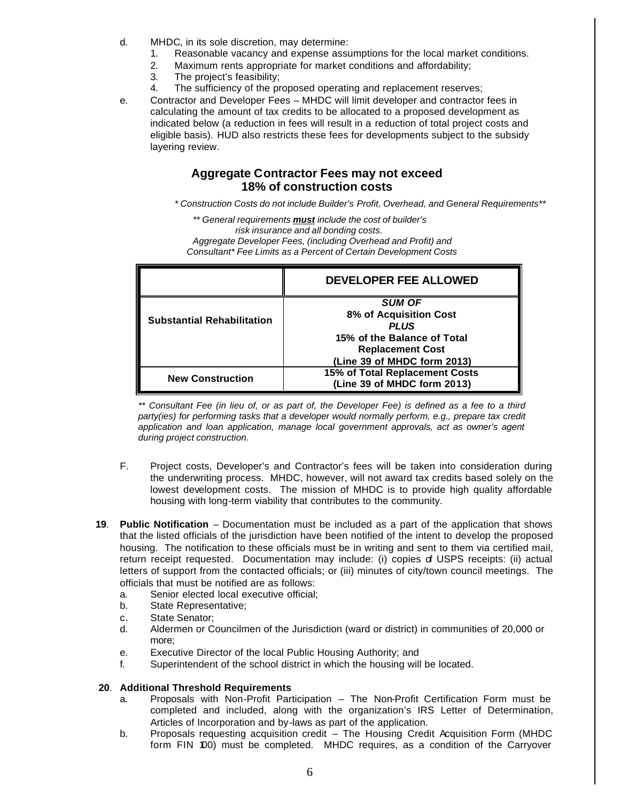- d. MHDC, in its sole discretion, may determine:
	- 1. Reasonable vacancy and expense assumptions for the local market conditions.
	- 2. Maximum rents appropriate for market conditions and affordability;
	- 3. The project's feasibility;
	- 4. The sufficiency of the proposed operating and replacement reserves;
- e. Contractor and Developer Fees MHDC will limit developer and contractor fees in calculating the amount of tax credits to be allocated to a proposed development as indicated below (a reduction in fees will result in a reduction of total project costs and eligible basis). HUD also restricts these fees for developments subject to the subsidy layering review.

# **Aggregate Contractor Fees may not exceed 18% of construction costs**

*\* Construction Costs do not include Builder's Profit, Overhead, and General Requirements\*\**

*\*\* General requirements must include the cost of builder's risk insurance and all bonding costs.*

*Aggregate Developer Fees, (including Overhead and Profit) and Consultant\* Fee Limits as a Percent of Certain Development Costs*

|                                   | <b>DEVELOPER FEE ALLOWED</b>   |
|-----------------------------------|--------------------------------|
|                                   | <b>SUM OF</b>                  |
| <b>Substantial Rehabilitation</b> | 8% of Acquisition Cost         |
|                                   | <b>PLUS</b>                    |
|                                   | 15% of the Balance of Total    |
|                                   | <b>Replacement Cost</b>        |
|                                   | (Line 39 of MHDC form 2013)    |
| <b>New Construction</b>           | 15% of Total Replacement Costs |
|                                   | (Line 39 of MHDC form 2013)    |

*\*\* Consultant Fee (in lieu of, or as part of, the Developer Fee) is defined as a fee to a third*  party(ies) for performing tasks that a developer would normally perform, e.g., prepare tax credit *application and loan application, manage local government approvals, act as owner's agent during project construction.*

- F. Project costs, Developer's and Contractor's fees will be taken into consideration during the underwriting process. MHDC, however, will not award tax credits based solely on the lowest development costs. The mission of MHDC is to provide high quality affordable housing with long-term viability that contributes to the community.
- **19**. **Public Notification** Documentation must be included as a part of the application that shows that the listed officials of the jurisdiction have been notified of the intent to develop the proposed housing. The notification to these officials must be in writing and sent to them via certified mail, return receipt requested. Documentation may include: (i) copies of USPS receipts: (ii) actual letters of support from the contacted officials; or (iii) minutes of city/town council meetings. The officials that must be notified are as follows:
	- a. Senior elected local executive official;
	- b. State Representative;
	- c. State Senator;
	- d. Aldermen or Councilmen of the Jurisdiction (ward or district) in communities of 20,000 or more;
	- e. Executive Director of the local Public Housing Authority; and
	- f. Superintendent of the school district in which the housing will be located.

#### **20**. **Additional Threshold Requirements**

- a. Proposals with Non-Profit Participation The Non-Profit Certification Form must be completed and included, along with the organization's IRS Letter of Determination, Articles of Incorporation and by-laws as part of the application.
- b. Proposals requesting acquisition credit The Housing Credit Acquisition Form (MHDC form FIN 100) must be completed. MHDC requires, as a condition of the Carryover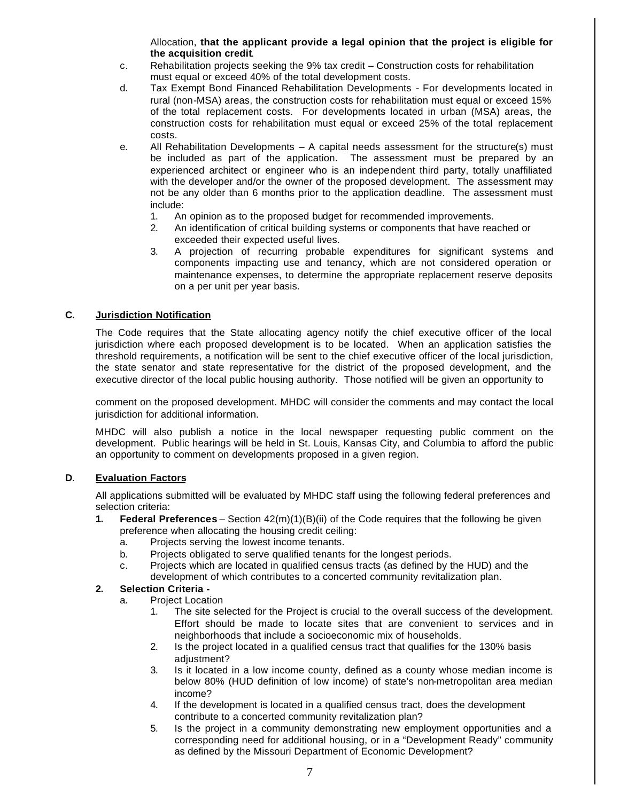Allocation, **that the applicant provide a legal opinion that the project is eligible for the acquisition credit**.

- c. Rehabilitation projects seeking the 9% tax credit Construction costs for rehabilitation must equal or exceed 40% of the total development costs.
- d. Tax Exempt Bond Financed Rehabilitation Developments For developments located in rural (non-MSA) areas, the construction costs for rehabilitation must equal or exceed 15% of the total replacement costs. For developments located in urban (MSA) areas, the construction costs for rehabilitation must equal or exceed 25% of the total replacement costs.
- e. All Rehabilitation Developments A capital needs assessment for the structure(s) must be included as part of the application. The assessment must be prepared by an experienced architect or engineer who is an independent third party, totally unaffiliated with the developer and/or the owner of the proposed development. The assessment may not be any older than 6 months prior to the application deadline. The assessment must include:
	- 1. An opinion as to the proposed budget for recommended improvements.
	- 2. An identification of critical building systems or components that have reached or exceeded their expected useful lives.
	- 3. A projection of recurring probable expenditures for significant systems and components impacting use and tenancy, which are not considered operation or maintenance expenses, to determine the appropriate replacement reserve deposits on a per unit per year basis.

## **C. Jurisdiction Notification**

The Code requires that the State allocating agency notify the chief executive officer of the local jurisdiction where each proposed development is to be located. When an application satisfies the threshold requirements, a notification will be sent to the chief executive officer of the local jurisdiction, the state senator and state representative for the district of the proposed development, and the executive director of the local public housing authority. Those notified will be given an opportunity to

comment on the proposed development. MHDC will consider the comments and may contact the local jurisdiction for additional information.

MHDC will also publish a notice in the local newspaper requesting public comment on the development. Public hearings will be held in St. Louis, Kansas City, and Columbia to afford the public an opportunity to comment on developments proposed in a given region.

#### **D**. **Evaluation Factors**

All applications submitted will be evaluated by MHDC staff using the following federal preferences and selection criteria:

- **1. Federal Preferences** Section 42(m)(1)(B)(ii) of the Code requires that the following be given preference when allocating the housing credit ceiling:
	- a. Projects serving the lowest income tenants.
	- b. Projects obligated to serve qualified tenants for the longest periods.
	- c. Projects which are located in qualified census tracts (as defined by the HUD) and the development of which contributes to a concerted community revitalization plan.

#### **2. Selection Criteria -**

- a. Project Location
	- 1. The site selected for the Project is crucial to the overall success of the development. Effort should be made to locate sites that are convenient to services and in neighborhoods that include a socioeconomic mix of households.
	- 2. Is the project located in a qualified census tract that qualifies for the 130% basis adjustment?
	- 3. Is it located in a low income county, defined as a county whose median income is below 80% (HUD definition of low income) of state's non-metropolitan area median income?
	- 4. If the development is located in a qualified census tract, does the development contribute to a concerted community revitalization plan?
	- 5. Is the project in a community demonstrating new employment opportunities and a corresponding need for additional housing, or in a "Development Ready" community as defined by the Missouri Department of Economic Development?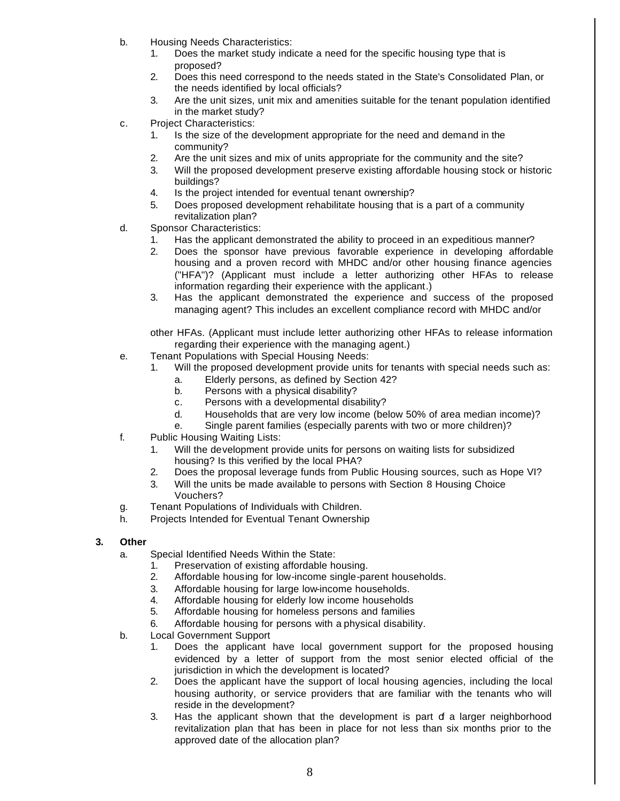- b. Housing Needs Characteristics:
	- 1. Does the market study indicate a need for the specific housing type that is proposed?
	- 2. Does this need correspond to the needs stated in the State's Consolidated Plan, or the needs identified by local officials?
	- 3. Are the unit sizes, unit mix and amenities suitable for the tenant population identified in the market study?
- c. Project Characteristics:
	- 1. Is the size of the development appropriate for the need and demand in the community?
	- 2. Are the unit sizes and mix of units appropriate for the community and the site?
	- 3. Will the proposed development preserve existing affordable housing stock or historic buildings?
	- 4. Is the project intended for eventual tenant ownership?
	- 5. Does proposed development rehabilitate housing that is a part of a community revitalization plan?
- d. Sponsor Characteristics:
	- 1. Has the applicant demonstrated the ability to proceed in an expeditious manner?
	- 2. Does the sponsor have previous favorable experience in developing affordable housing and a proven record with MHDC and/or other housing finance agencies ("HFA")? (Applicant must include a letter authorizing other HFAs to release information regarding their experience with the applicant.)
	- 3. Has the applicant demonstrated the experience and success of the proposed managing agent? This includes an excellent compliance record with MHDC and/or

other HFAs. (Applicant must include letter authorizing other HFAs to release information regarding their experience with the managing agent.)

- e. Tenant Populations with Special Housing Needs:
	- 1. Will the proposed development provide units for tenants with special needs such as:
		- a. Elderly persons, as defined by Section 42?
		- b. Persons with a physical disability?
		- c. Persons with a developmental disability?
		- d. Households that are very low income (below 50% of area median income)?
		- e. Single parent families (especially parents with two or more children)?
- f. Public Housing Waiting Lists:
	- 1. Will the development provide units for persons on waiting lists for subsidized housing? Is this verified by the local PHA?
	- 2. Does the proposal leverage funds from Public Housing sources, such as Hope VI?
	- 3. Will the units be made available to persons with Section 8 Housing Choice Vouchers?
- g. Tenant Populations of Individuals with Children.
- h. Projects Intended for Eventual Tenant Ownership

#### **3. Other**

- a. Special Identified Needs Within the State:
	- 1. Preservation of existing affordable housing.
	- 2. Affordable housing for low-income single-parent households.
	- 3. Affordable housing for large low-income households.
	- 4. Affordable housing for elderly low income households
	- 5. Affordable housing for homeless persons and families
	- 6. Affordable housing for persons with a physical disability.
- b. Local Government Support
	- 1. Does the applicant have local government support for the proposed housing evidenced by a letter of support from the most senior elected official of the jurisdiction in which the development is located?
	- 2. Does the applicant have the support of local housing agencies, including the local housing authority, or service providers that are familiar with the tenants who will reside in the development?
	- 3. Has the applicant shown that the development is part of a larger neighborhood revitalization plan that has been in place for not less than six months prior to the approved date of the allocation plan?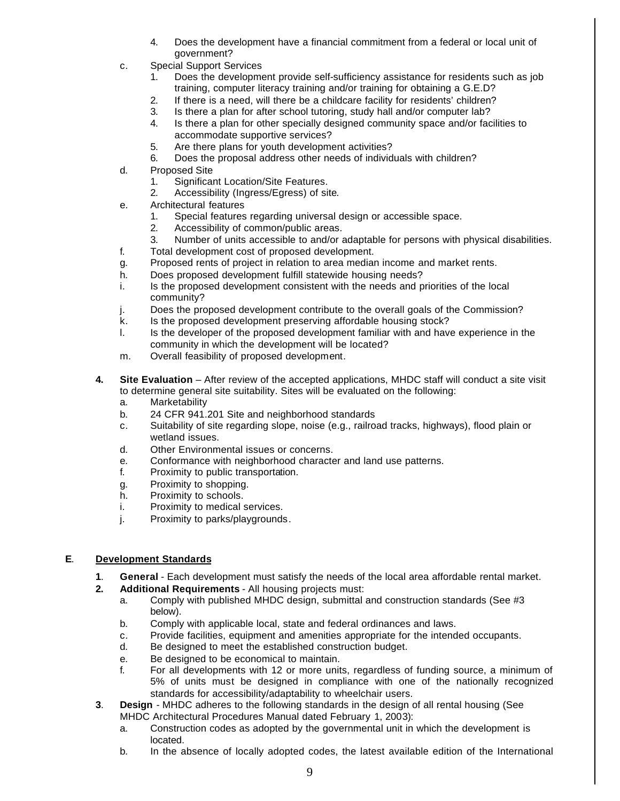- 4. Does the development have a financial commitment from a federal or local unit of government?
- c. Special Support Services
	- 1. Does the development provide self-sufficiency assistance for residents such as job training, computer literacy training and/or training for obtaining a G.E.D?
	- 2. If there is a need, will there be a childcare facility for residents' children?
	- 3. Is there a plan for after school tutoring, study hall and/or computer lab?
	- 4. Is there a plan for other specially designed community space and/or facilities to accommodate supportive services?
	- 5. Are there plans for youth development activities?
	- 6. Does the proposal address other needs of individuals with children?
- d. Proposed Site
	- 1. Significant Location/Site Features.
	- 2. Accessibility (Ingress/Egress) of site.
- e. Architectural features
	- 1. Special features regarding universal design or accessible space.
	- 2. Accessibility of common/public areas.
	- 3. Number of units accessible to and/or adaptable for persons with physical disabilities.
- f. Total development cost of proposed development.
- g. Proposed rents of project in relation to area median income and market rents.
- h. Does proposed development fulfill statewide housing needs?
- i. Is the proposed development consistent with the needs and priorities of the local community?
- j. Does the proposed development contribute to the overall goals of the Commission?
- k. Is the proposed development preserving affordable housing stock?
- l. Is the developer of the proposed development familiar with and have experience in the community in which the development will be located?
- m. Overall feasibility of proposed development.
- **4. Site Evaluation** After review of the accepted applications, MHDC staff will conduct a site visit to determine general site suitability. Sites will be evaluated on the following:
	- a. Marketability
	- b. 24 CFR 941.201 Site and neighborhood standards
	- c. Suitability of site regarding slope, noise (e.g., railroad tracks, highways), flood plain or wetland issues.
	- d. Other Environmental issues or concerns.
	- e. Conformance with neighborhood character and land use patterns.
	- f. Proximity to public transportation.
	- g. Proximity to shopping.
	- h. Proximity to schools.
	- i. Proximity to medical services.
	- j. Proximity to parks/playgrounds.

## **E**. **Development Standards**

- **1**. **General** Each development must satisfy the needs of the local area affordable rental market.
- **2. Additional Requirements** All housing projects must:
	- a. Comply with published MHDC design, submittal and construction standards (See #3 below).
	- b. Comply with applicable local, state and federal ordinances and laws.
	- c. Provide facilities, equipment and amenities appropriate for the intended occupants.
	- d. Be designed to meet the established construction budget.
	- e. Be designed to be economical to maintain.
	- f. For all developments with 12 or more units, regardless of funding source, a minimum of 5% of units must be designed in compliance with one of the nationally recognized standards for accessibility/adaptability to wheelchair users.
- **3**. **Design** MHDC adheres to the following standards in the design of all rental housing (See MHDC Architectural Procedures Manual dated February 1, 2003):
	- a. Construction codes as adopted by the governmental unit in which the development is located.
	- b. In the absence of locally adopted codes, the latest available edition of the International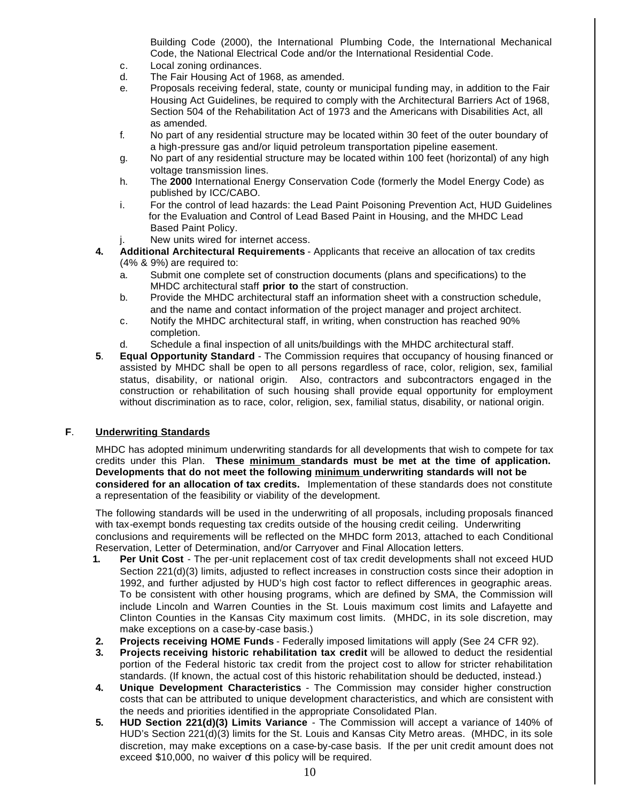Building Code (2000), the International Plumbing Code, the International Mechanical Code, the National Electrical Code and/or the International Residential Code.

- c. Local zoning ordinances.
- d. The Fair Housing Act of 1968, as amended.
- e. Proposals receiving federal, state, county or municipal funding may, in addition to the Fair Housing Act Guidelines, be required to comply with the Architectural Barriers Act of 1968, Section 504 of the Rehabilitation Act of 1973 and the Americans with Disabilities Act, all as amended.
- f. No part of any residential structure may be located within 30 feet of the outer boundary of a high-pressure gas and/or liquid petroleum transportation pipeline easement.
- g. No part of any residential structure may be located within 100 feet (horizontal) of any high voltage transmission lines.
- h. The **2000** International Energy Conservation Code (formerly the Model Energy Code) as published by ICC/CABO.
- i. For the control of lead hazards: the Lead Paint Poisoning Prevention Act, HUD Guidelines for the Evaluation and Control of Lead Based Paint in Housing, and the MHDC Lead Based Paint Policy.
- j. New units wired for internet access.
- **4. Additional Architectural Requirements** Applicants that receive an allocation of tax credits (4% & 9%) are required to:
	- a. Submit one complete set of construction documents (plans and specifications) to the MHDC architectural staff **prior to** the start of construction.
	- b. Provide the MHDC architectural staff an information sheet with a construction schedule, and the name and contact information of the project manager and project architect.
	- c. Notify the MHDC architectural staff, in writing, when construction has reached 90% completion.
	- d. Schedule a final inspection of all units/buildings with the MHDC architectural staff.
- **5**. **Equal Opportunity Standard** The Commission requires that occupancy of housing financed or assisted by MHDC shall be open to all persons regardless of race, color, religion, sex, familial status, disability, or national origin. Also, contractors and subcontractors engaged in the construction or rehabilitation of such housing shall provide equal opportunity for employment without discrimination as to race, color, religion, sex, familial status, disability, or national origin.

## **F**. **Underwriting Standards**

MHDC has adopted minimum underwriting standards for all developments that wish to compete for tax credits under this Plan. **These minimum standards must be met at the time of application. Developments that do not meet the following minimum underwriting standards will not be considered for an allocation of tax credits.** Implementation of these standards does not constitute a representation of the feasibility or viability of the development.

The following standards will be used in the underwriting of all proposals, including proposals financed with tax-exempt bonds requesting tax credits outside of the housing credit ceiling. Underwriting conclusions and requirements will be reflected on the MHDC form 2013, attached to each Conditional Reservation, Letter of Determination, and/or Carryover and Final Allocation letters.

- **1. Per Unit Cost** The per-unit replacement cost of tax credit developments shall not exceed HUD Section 221(d)(3) limits, adjusted to reflect increases in construction costs since their adoption in 1992, and further adjusted by HUD's high cost factor to reflect differences in geographic areas. To be consistent with other housing programs, which are defined by SMA, the Commission will include Lincoln and Warren Counties in the St. Louis maximum cost limits and Lafayette and Clinton Counties in the Kansas City maximum cost limits. (MHDC, in its sole discretion, may make exceptions on a case-by -case basis.)
- **2. Projects receiving HOME Funds** Federally imposed limitations will apply (See 24 CFR 92).
- **3. Projects receiving historic rehabilitation tax credit** will be allowed to deduct the residential portion of the Federal historic tax credit from the project cost to allow for stricter rehabilitation standards. (If known, the actual cost of this historic rehabilitation should be deducted, instead.)
- **4. Unique Development Characteristics** The Commission may consider higher construction costs that can be attributed to unique development characteristics, and which are consistent with the needs and priorities identified in the appropriate Consolidated Plan.
- **5. HUD Section 221(d)(3) Limits Variance** The Commission will accept a variance of 140% of HUD's Section 221(d)(3) limits for the St. Louis and Kansas City Metro areas. (MHDC, in its sole discretion, may make exceptions on a case-by-case basis. If the per unit credit amount does not exceed \$10,000, no waiver of this policy will be required.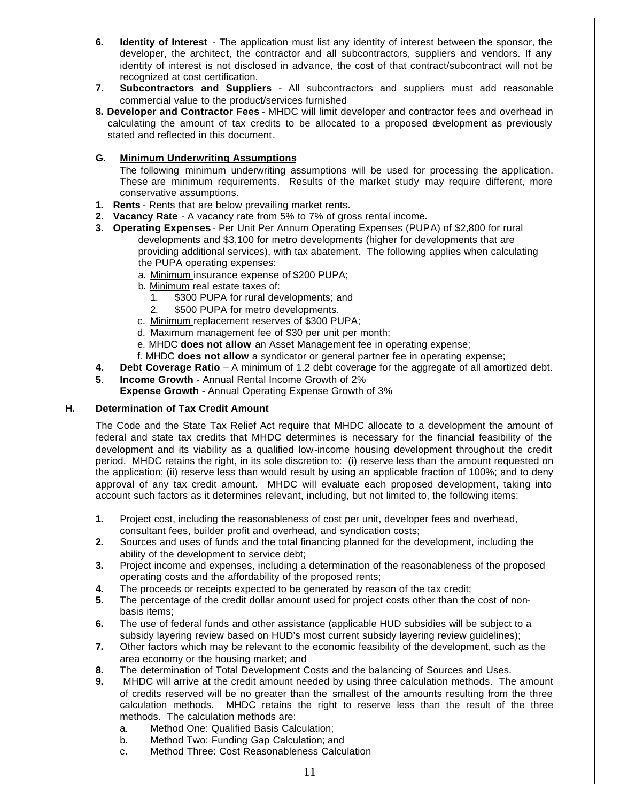- **6. Identity of Interest** The application must list any identity of interest between the sponsor, the developer, the architect, the contractor and all subcontractors, suppliers and vendors. If any identity of interest is not disclosed in advance, the cost of that contract/subcontract will not be recognized at cost certification.
- **7**. **Subcontractors and Suppliers** All subcontractors and suppliers must add reasonable commercial value to the product/services furnished
- **8. Developer and Contractor Fees** MHDC will limit developer and contractor fees and overhead in calculating the amount of tax credits to be allocated to a proposed development as previously stated and reflected in this document.

## **G. Minimum Underwriting Assumptions**

The following minimum underwriting assumptions will be used for processing the application. These are minimum requirements. Results of the market study may require different, more conservative assumptions.

- **1. Rents** Rents that are below prevailing market rents.
- **2. Vacancy Rate** A vacancy rate from 5% to 7% of gross rental income.
- **3**. **Operating Expenses** Per Unit Per Annum Operating Expenses (PUPA) of \$2,800 for rural developments and \$3,100 for metro developments (higher for developments that are providing additional services), with tax abatement. The following applies when calculating the PUPA operating expenses:
	- a. Minimum insurance expense of \$200 PUPA;
	- b. Minimum real estate taxes of:
		- 1. \$300 PUPA for rural developments; and
		- 2. \$500 PUPA for metro developments.
	- c. Minimum replacement reserves of \$300 PUPA;
	- d. Maximum management fee of \$30 per unit per month;
	- e. MHDC **does not allow** an Asset Management fee in operating expense;
	- f. MHDC **does not allow** a syndicator or general partner fee in operating expense;
- **4. Debt Coverage Ratio** A minimum of 1.2 debt coverage for the aggregate of all amortized debt.
- **5**. **Income Growth** Annual Rental Income Growth of 2%
	- **Expense Growth** Annual Operating Expense Growth of 3%

#### **H. Determination of Tax Credit Amount**

The Code and the State Tax Relief Act require that MHDC allocate to a development the amount of federal and state tax credits that MHDC determines is necessary for the financial feasibility of the development and its viability as a qualified low-income housing development throughout the credit period. MHDC retains the right, in its sole discretion to: (i) reserve less than the amount requested on the application; (ii) reserve less than would result by using an applicable fraction of 100%; and to deny approval of any tax credit amount. MHDC will evaluate each proposed development, taking into account such factors as it determines relevant, including, but not limited to, the following items:

- **1.** Project cost, including the reasonableness of cost per unit, developer fees and overhead, consultant fees, builder profit and overhead, and syndication costs;
- **2.** Sources and uses of funds and the total financing planned for the development, including the ability of the development to service debt;
- **3.** Project income and expenses, including a determination of the reasonableness of the proposed operating costs and the affordability of the proposed rents;
- **4.** The proceeds or receipts expected to be generated by reason of the tax credit;
- **5.** The percentage of the credit dollar amount used for project costs other than the cost of nonbasis items;
- **6.** The use of federal funds and other assistance (applicable HUD subsidies will be subject to a subsidy layering review based on HUD's most current subsidy layering review guidelines);
- **7.** Other factors which may be relevant to the economic feasibility of the development, such as the area economy or the housing market; and
- **8.** The determination of Total Development Costs and the balancing of Sources and Uses.
- **9.** MHDC will arrive at the credit amount needed by using three calculation methods. The amount of credits reserved will be no greater than the smallest of the amounts resulting from the three calculation methods. MHDC retains the right to reserve less than the result of the three methods. The calculation methods are:
	- a. Method One: Qualified Basis Calculation;
	- b. Method Two: Funding Gap Calculation; and
	- c. Method Three: Cost Reasonableness Calculation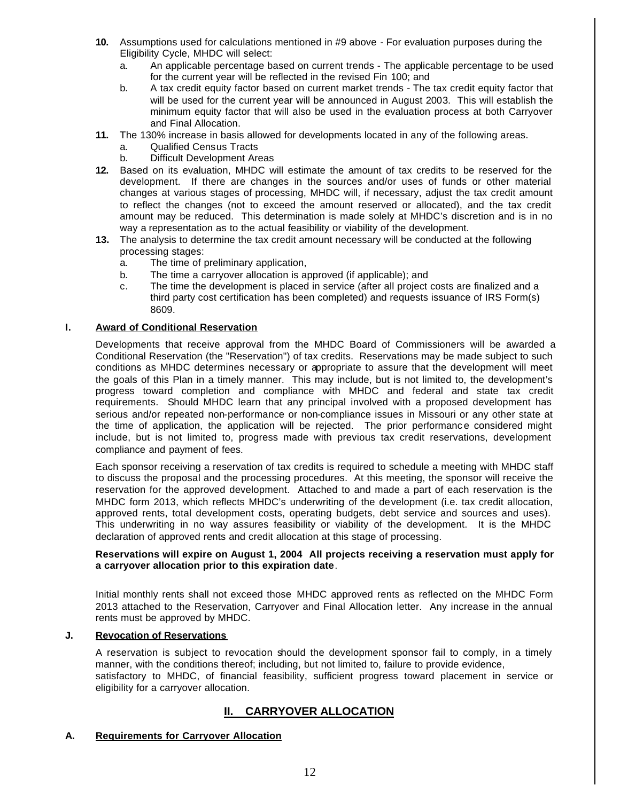- **10.** Assumptions used for calculations mentioned in #9 above For evaluation purposes during the Eligibility Cycle, MHDC will select:
	- a. An applicable percentage based on current trends The applicable percentage to be used for the current year will be reflected in the revised Fin 100; and
	- b. A tax credit equity factor based on current market trends The tax credit equity factor that will be used for the current year will be announced in August 2003. This will establish the minimum equity factor that will also be used in the evaluation process at both Carryover and Final Allocation.
- **11.** The 130% increase in basis allowed for developments located in any of the following areas.
	- a. Qualified Census Tracts
	- b. Difficult Development Areas
- **12.** Based on its evaluation, MHDC will estimate the amount of tax credits to be reserved for the development. If there are changes in the sources and/or uses of funds or other material changes at various stages of processing, MHDC will, if necessary, adjust the tax credit amount to reflect the changes (not to exceed the amount reserved or allocated), and the tax credit amount may be reduced. This determination is made solely at MHDC's discretion and is in no way a representation as to the actual feasibility or viability of the development.
- **13.** The analysis to determine the tax credit amount necessary will be conducted at the following processing stages:
	- a. The time of preliminary application,
	- b. The time a carryover allocation is approved (if applicable); and
	- c. The time the development is placed in service (after all project costs are finalized and a third party cost certification has been completed) and requests issuance of IRS Form(s) 8609.

## **I. Award of Conditional Reservation**

Developments that receive approval from the MHDC Board of Commissioners will be awarded a Conditional Reservation (the "Reservation") of tax credits. Reservations may be made subject to such conditions as MHDC determines necessary or appropriate to assure that the development will meet the goals of this Plan in a timely manner. This may include, but is not limited to, the development's progress toward completion and compliance with MHDC and federal and state tax credit requirements. Should MHDC learn that any principal involved with a proposed development has serious and/or repeated non-performance or non-compliance issues in Missouri or any other state at the time of application, the application will be rejected. The prior performanc e considered might include, but is not limited to, progress made with previous tax credit reservations, development compliance and payment of fees.

Each sponsor receiving a reservation of tax credits is required to schedule a meeting with MHDC staff to discuss the proposal and the processing procedures. At this meeting, the sponsor will receive the reservation for the approved development. Attached to and made a part of each reservation is the MHDC form 2013, which reflects MHDC's underwriting of the development (i.e. tax credit allocation, approved rents, total development costs, operating budgets, debt service and sources and uses). This underwriting in no way assures feasibility or viability of the development. It is the MHDC declaration of approved rents and credit allocation at this stage of processing.

#### **Reservations will expire on August 1, 2004 All projects receiving a reservation must apply for a carryover allocation prior to this expiration date**.

Initial monthly rents shall not exceed those MHDC approved rents as reflected on the MHDC Form 2013 attached to the Reservation, Carryover and Final Allocation letter. Any increase in the annual rents must be approved by MHDC.

#### **J. Revocation of Reservations**

A reservation is subject to revocation should the development sponsor fail to comply, in a timely manner, with the conditions thereof; including, but not limited to, failure to provide evidence, satisfactory to MHDC, of financial feasibility, sufficient progress toward placement in service or eligibility for a carryover allocation.

# **II. CARRYOVER ALLOCATION**

#### **A. Requirements for Carryover Allocation**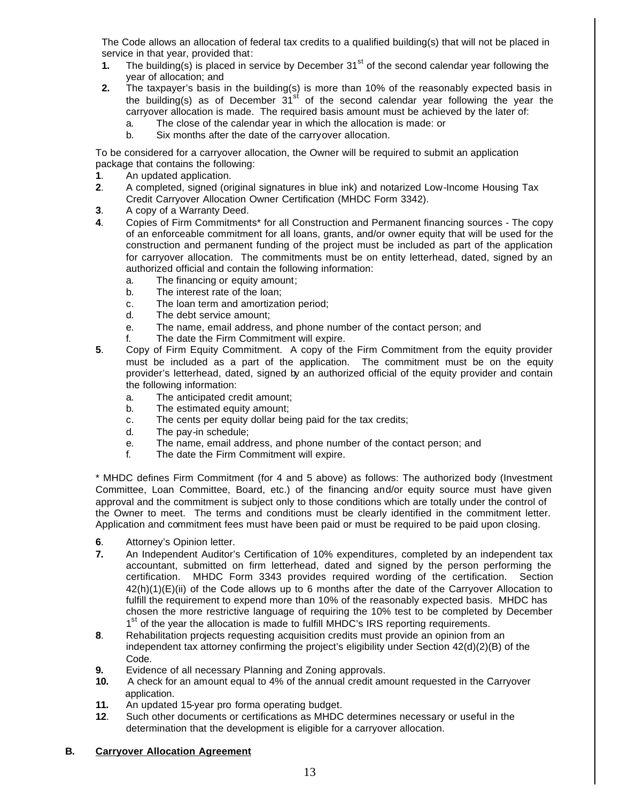The Code allows an allocation of federal tax credits to a qualified building(s) that will not be placed in service in that year, provided that:

- **1.** The building(s) is placed in service by December  $31<sup>st</sup>$  of the second calendar year following the year of allocation; and
- **2.** The taxpayer's basis in the building(s) is more than 10% of the reasonably expected basis in the building(s) as of December  $31<sup>st</sup>$  of the second calendar year following the year the carryover allocation is made. The required basis amount must be achieved by the later of:
	- a. The close of the calendar year in which the allocation is made: or
	- b. Six months after the date of the carryover allocation.

To be considered for a carryover allocation, the Owner will be required to submit an application package that contains the following:

- **1**. An updated application.
- **2**. A completed, signed (original signatures in blue ink) and notarized Low-Income Housing Tax Credit Carryover Allocation Owner Certification (MHDC Form 3342).
- **3**. A copy of a Warranty Deed.
- **4**. Copies of Firm Commitments\* for all Construction and Permanent financing sources The copy of an enforceable commitment for all loans, grants, and/or owner equity that will be used for the construction and permanent funding of the project must be included as part of the application for carryover allocation. The commitments must be on entity letterhead, dated, signed by an authorized official and contain the following information:
	- a. The financing or equity amount;
	- b. The interest rate of the loan;
	- c. The loan term and amortization period;
	- d. The debt service amount;
	- e. The name, email address, and phone number of the contact person; and
	- f. The date the Firm Commitment will expire.
- **5**. Copy of Firm Equity Commitment. A copy of the Firm Commitment from the equity provider must be included as a part of the application. The commitment must be on the equity provider's letterhead, dated, signed by an authorized official of the equity provider and contain the following information:
	- a. The anticipated credit amount;
	- b. The estimated equity amount:
	- c. The cents per equity dollar being paid for the tax credits;
	- d. The pay-in schedule;
	- e. The name, email address, and phone number of the contact person; and
	- f. The date the Firm Commitment will expire.

\* MHDC defines Firm Commitment (for 4 and 5 above) as follows: The authorized body (Investment Committee, Loan Committee, Board, etc.) of the financing and/or equity source must have given approval and the commitment is subject only to those conditions which are totally under the control of the Owner to meet. The terms and conditions must be clearly identified in the commitment letter. Application and commitment fees must have been paid or must be required to be paid upon closing.

- **6**. Attorney's Opinion letter.
- **7.** An Independent Auditor's Certification of 10% expenditures*,* completed by an independent tax accountant, submitted on firm letterhead, dated and signed by the person performing the certification. MHDC Form 3343 provides required wording of the certification. Section 42(h)(1)(E)(ii) of the Code allows up to 6 months after the date of the Carryover Allocation to fulfill the requirement to expend more than 10% of the reasonably expected basis. MHDC has chosen the more restrictive language of requiring the 10% test to be completed by December 1<sup>st</sup> of the year the allocation is made to fulfill MHDC's IRS reporting requirements.
- **8**. Rehabilitation projects requesting acquisition credits must provide an opinion from an independent tax attorney confirming the project's eligibility under Section 42(d)(2)(B) of the Code.
- **9.** Evidence of all necessary Planning and Zoning approvals.
- **10.** A check for an amount equal to 4% of the annual credit amount requested in the Carryover application.
- **11.** An updated 15-year pro forma operating budget.
- **12**. Such other documents or certifications as MHDC determines necessary or useful in the determination that the development is eligible for a carryover allocation.

#### **B. Carryover Allocation Agreement**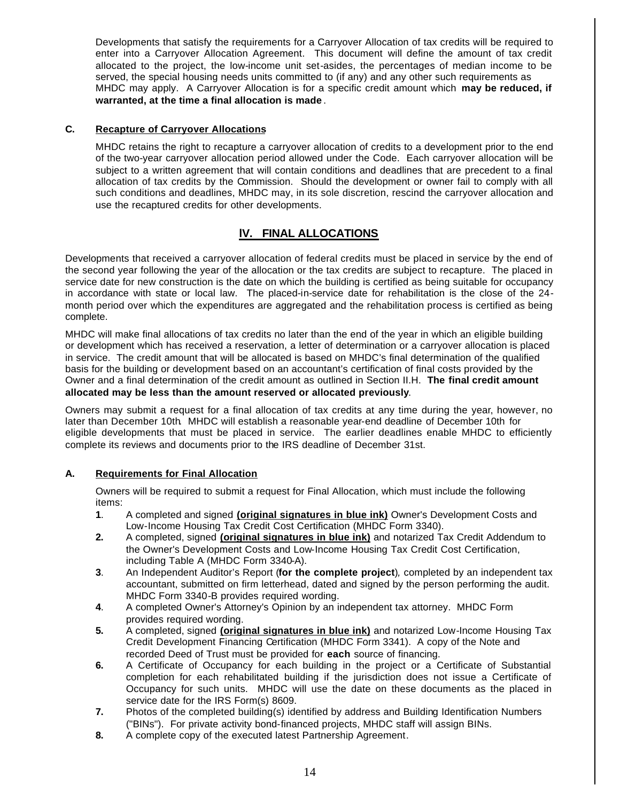Developments that satisfy the requirements for a Carryover Allocation of tax credits will be required to enter into a Carryover Allocation Agreement. This document will define the amount of tax credit allocated to the project, the low-income unit set-asides, the percentages of median income to be served, the special housing needs units committed to (if any) and any other such requirements as MHDC may apply. A Carryover Allocation is for a specific credit amount which **may be reduced, if warranted, at the time a final allocation is made** .

## **C. Recapture of Carryover Allocations**

MHDC retains the right to recapture a carryover allocation of credits to a development prior to the end of the two-year carryover allocation period allowed under the Code. Each carryover allocation will be subject to a written agreement that will contain conditions and deadlines that are precedent to a final allocation of tax credits by the Commission. Should the development or owner fail to comply with all such conditions and deadlines, MHDC may, in its sole discretion, rescind the carryover allocation and use the recaptured credits for other developments.

# **lV. FINAL ALLOCATIONS**

Developments that received a carryover allocation of federal credits must be placed in service by the end of the second year following the year of the allocation or the tax credits are subject to recapture. The placed in service date for new construction is the date on which the building is certified as being suitable for occupancy in accordance with state or local law. The placed-in-service date for rehabilitation is the close of the 24 month period over which the expenditures are aggregated and the rehabilitation process is certified as being complete.

MHDC will make final allocations of tax credits no later than the end of the year in which an eligible building or development which has received a reservation, a letter of determination or a carryover allocation is placed in service. The credit amount that will be allocated is based on MHDC's final determination of the qualified basis for the building or development based on an accountant's certification of final costs provided by the Owner and a final determination of the credit amount as outlined in Section II.H. **The final credit amount allocated may be less than the amount reserved or allocated previously**.

Owners may submit a request for a final allocation of tax credits at any time during the year, however, no later than December 10th. MHDC will establish a reasonable year-end deadline of December 10th for eligible developments that must be placed in service. The earlier deadlines enable MHDC to efficiently complete its reviews and documents prior to the IRS deadline of December 31st.

## **A. Requirements for Final Allocation**

Owners will be required to submit a request for Final Allocation, which must include the following items:

- **1**. A completed and signed **(original signatures in blue ink)** Owner's Development Costs and Low-Income Housing Tax Credit Cost Certification (MHDC Form 3340).
- **2.** A completed, signed **(original signatures in blue ink)** and notarized Tax Credit Addendum to the Owner's Development Costs and Low-Income Housing Tax Credit Cost Certification, including Table A (MHDC Form 3340-A).
- **3**. An Independent Auditor's Report (**for the complete project**)*,* completed by an independent tax accountant, submitted on firm letterhead, dated and signed by the person performing the audit. MHDC Form 3340-B provides required wording.
- **4**. A completed Owner's Attorney's Opinion by an independent tax attorney. MHDC Form provides required wording.
- **5.** A completed, signed **(original signatures in blue ink)** and notarized Low-Income Housing Tax Credit Development Financing Certification (MHDC Form 3341). A copy of the Note and recorded Deed of Trust must be provided for **each** source of financing.
- **6.** A Certificate of Occupancy for each building in the project or a Certificate of Substantial completion for each rehabilitated building if the jurisdiction does not issue a Certificate of Occupancy for such units. MHDC will use the date on these documents as the placed in service date for the IRS Form(s) 8609.
- **7.** Photos of the completed building(s) identified by address and Building Identification Numbers ("BINs"). For private activity bond-financed projects, MHDC staff will assign BINs.
- **8.** A complete copy of the executed latest Partnership Agreement.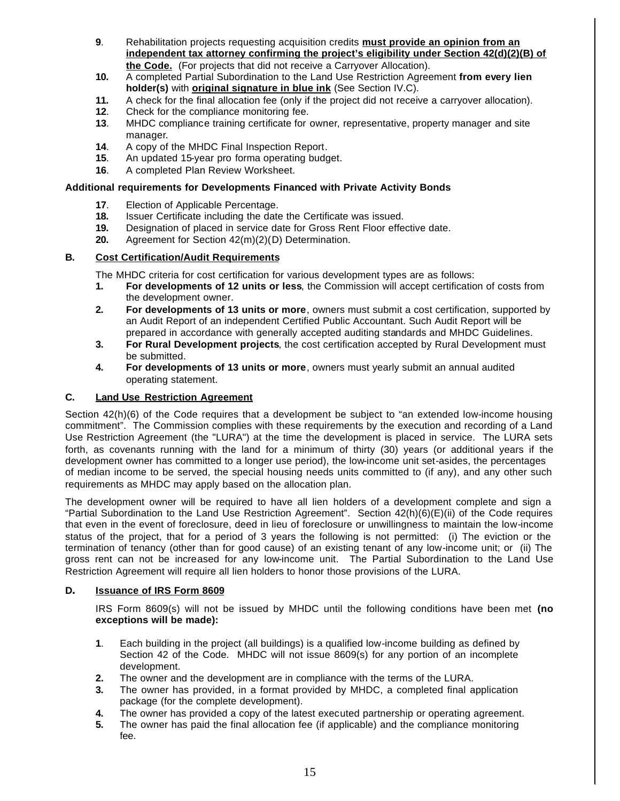- **9**. Rehabilitation projects requesting acquisition credits **must provide an opinion from an independent tax attorney confirming the project's eligibility under Section 42(d)(2)(B) of the Code.** (For projects that did not receive a Carryover Allocation).
- **10.** A completed Partial Subordination to the Land Use Restriction Agreement **from every lien holder(s)** with **original signature in blue ink** (See Section IV.C).
- **11.** A check for the final allocation fee (only if the project did not receive a carryover allocation).
- **12**. Check for the compliance monitoring fee.
- **13**. MHDC compliance training certificate for owner, representative, property manager and site manager.
- **14**. A copy of the MHDC Final Inspection Report.
- **15**. An updated 15-year pro forma operating budget.
- **16**. A completed Plan Review Worksheet.

#### **Additional requirements for Developments Financed with Private Activity Bonds**

- **17**. Election of Applicable Percentage.
- **18.** Issuer Certificate including the date the Certificate was issued.
- **19.** Designation of placed in service date for Gross Rent Floor effective date.
- **20.** Agreement for Section 42(m)(2)(D) Determination.

#### **B. Cost Certification/Audit Requirements**

The MHDC criteria for cost certification for various development types are as follows:

- **1. For developments of 12 units or less**, the Commission will accept certification of costs from the development owner.
- **2. For developments of 13 units or more**, owners must submit a cost certification, supported by an Audit Report of an independent Certified Public Accountant. Such Audit Report will be prepared in accordance with generally accepted auditing standards and MHDC Guidelines.
- **3. For Rural Development projects**, the cost certification accepted by Rural Development must be submitted.
- **4. For developments of 13 units or more**, owners must yearly submit an annual audited operating statement.

## **C. Land Use Restriction Agreement**

Section 42(h)(6) of the Code requires that a development be subject to "an extended low-income housing commitment". The Commission complies with these requirements by the execution and recording of a Land Use Restriction Agreement (the "LURA") at the time the development is placed in service. The LURA sets forth, as covenants running with the land for a minimum of thirty (30) years (or additional years if the development owner has committed to a longer use period), the low-income unit set-asides, the percentages of median income to be served, the special housing needs units committed to (if any), and any other such requirements as MHDC may apply based on the allocation plan.

The development owner will be required to have all lien holders of a development complete and sign a "Partial Subordination to the Land Use Restriction Agreement". Section 42(h)(6)(E)(ii) of the Code requires that even in the event of foreclosure, deed in lieu of foreclosure or unwillingness to maintain the low-income status of the project, that for a period of 3 years the following is not permitted: (i) The eviction or the termination of tenancy (other than for good cause) of an existing tenant of any low-income unit; or (ii) The gross rent can not be increased for any low-income unit. The Partial Subordination to the Land Use Restriction Agreement will require all lien holders to honor those provisions of the LURA.

#### **D. Issuance of IRS Form 8609**

IRS Form 8609(s) will not be issued by MHDC until the following conditions have been met **(no exceptions will be made):**

- **1**. Each building in the project (all buildings) is a qualified low-income building as defined by Section 42 of the Code. MHDC will not issue 8609(s) for any portion of an incomplete development.
- **2.** The owner and the development are in compliance with the terms of the LURA.
- **3.** The owner has provided, in a format provided by MHDC, a completed final application package (for the complete development).
- **4.** The owner has provided a copy of the latest executed partnership or operating agreement.
- **5.** The owner has paid the final allocation fee (if applicable) and the compliance monitoring fee.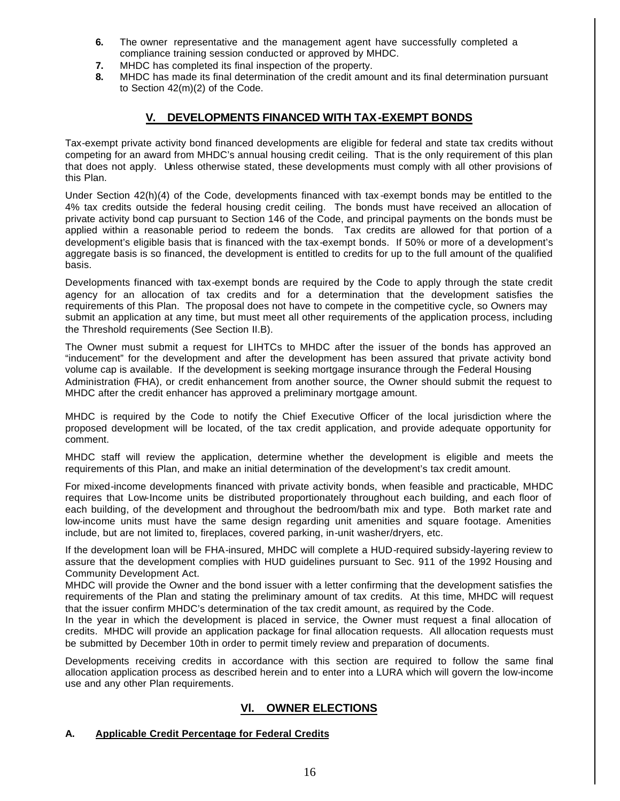- **6.** The owner representative and the management agent have successfully completed a compliance training session conducted or approved by MHDC.
- **7.** MHDC has completed its final inspection of the property.
- **8.** MHDC has made its final determination of the credit amount and its final determination pursuant to Section 42(m)(2) of the Code.

# **V. DEVELOPMENTS FINANCED WITH TAX-EXEMPT BONDS**

Tax-exempt private activity bond financed developments are eligible for federal and state tax credits without competing for an award from MHDC's annual housing credit ceiling. That is the only requirement of this plan that does not apply. Unless otherwise stated, these developments must comply with all other provisions of this Plan.

Under Section 42(h)(4) of the Code, developments financed with tax -exempt bonds may be entitled to the 4% tax credits outside the federal housing credit ceiling. The bonds must have received an allocation of private activity bond cap pursuant to Section 146 of the Code, and principal payments on the bonds must be applied within a reasonable period to redeem the bonds. Tax credits are allowed for that portion of a development's eligible basis that is financed with the tax-exempt bonds. If 50% or more of a development's aggregate basis is so financed, the development is entitled to credits for up to the full amount of the qualified basis.

Developments financed with tax-exempt bonds are required by the Code to apply through the state credit agency for an allocation of tax credits and for a determination that the development satisfies the requirements of this Plan. The proposal does not have to compete in the competitive cycle, so Owners may submit an application at any time, but must meet all other requirements of the application process, including the Threshold requirements (See Section II.B).

The Owner must submit a request for LIHTCs to MHDC after the issuer of the bonds has approved an "inducement" for the development and after the development has been assured that private activity bond volume cap is available. If the development is seeking mortgage insurance through the Federal Housing Administration (FHA), or credit enhancement from another source, the Owner should submit the request to MHDC after the credit enhancer has approved a preliminary mortgage amount.

MHDC is required by the Code to notify the Chief Executive Officer of the local jurisdiction where the proposed development will be located, of the tax credit application, and provide adequate opportunity for comment.

MHDC staff will review the application, determine whether the development is eligible and meets the requirements of this Plan, and make an initial determination of the development's tax credit amount.

For mixed-income developments financed with private activity bonds, when feasible and practicable, MHDC requires that Low-Income units be distributed proportionately throughout each building, and each floor of each building, of the development and throughout the bedroom/bath mix and type. Both market rate and low-income units must have the same design regarding unit amenities and square footage. Amenities include, but are not limited to, fireplaces, covered parking, in-unit washer/dryers, etc.

If the development loan will be FHA-insured, MHDC will complete a HUD-required subsidy-layering review to assure that the development complies with HUD guidelines pursuant to Sec. 911 of the 1992 Housing and Community Development Act.

MHDC will provide the Owner and the bond issuer with a letter confirming that the development satisfies the requirements of the Plan and stating the preliminary amount of tax credits. At this time, MHDC will request that the issuer confirm MHDC's determination of the tax credit amount, as required by the Code.

In the year in which the development is placed in service, the Owner must request a final allocation of credits. MHDC will provide an application package for final allocation requests. All allocation requests must be submitted by December 10th in order to permit timely review and preparation of documents.

Developments receiving credits in accordance with this section are required to follow the same final allocation application process as described herein and to enter into a LURA which will govern the low-income use and any other Plan requirements.

# **Vl. OWNER ELECTIONS**

#### **A. Applicable Credit Percentage for Federal Credits**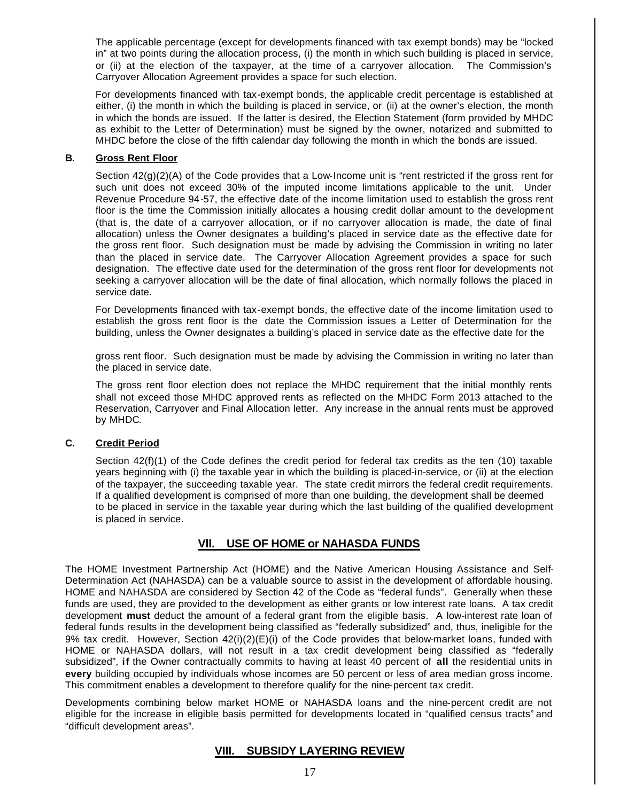The applicable percentage (except for developments financed with tax exempt bonds) may be "locked in" at two points during the allocation process, (i) the month in which such building is placed in service, or (ii) at the election of the taxpayer, at the time of a carryover allocation. The Commission's Carryover Allocation Agreement provides a space for such election.

For developments financed with tax-exempt bonds, the applicable credit percentage is established at either, (i) the month in which the building is placed in service, or (ii) at the owner's election, the month in which the bonds are issued. If the latter is desired, the Election Statement (form provided by MHDC as exhibit to the Letter of Determination) must be signed by the owner, notarized and submitted to MHDC before the close of the fifth calendar day following the month in which the bonds are issued.

#### **B. Gross Rent Floor**

Section 42(g)(2)(A) of the Code provides that a Low-Income unit is "rent restricted if the gross rent for such unit does not exceed 30% of the imputed income limitations applicable to the unit. Under Revenue Procedure 94-57, the effective date of the income limitation used to establish the gross rent floor is the time the Commission initially allocates a housing credit dollar amount to the development (that is, the date of a carryover allocation, or if no carryover allocation is made, the date of final allocation) unless the Owner designates a building's placed in service date as the effective date for the gross rent floor. Such designation must be made by advising the Commission in writing no later than the placed in service date. The Carryover Allocation Agreement provides a space for such designation. The effective date used for the determination of the gross rent floor for developments not seeking a carryover allocation will be the date of final allocation, which normally follows the placed in service date.

For Developments financed with tax-exempt bonds, the effective date of the income limitation used to establish the gross rent floor is the date the Commission issues a Letter of Determination for the building, unless the Owner designates a building's placed in service date as the effective date for the

gross rent floor. Such designation must be made by advising the Commission in writing no later than the placed in service date.

The gross rent floor election does not replace the MHDC requirement that the initial monthly rents shall not exceed those MHDC approved rents as reflected on the MHDC Form 2013 attached to the Reservation, Carryover and Final Allocation letter. Any increase in the annual rents must be approved by MHDC.

#### **C. Credit Period**

Section  $42(f)(1)$  of the Code defines the credit period for federal tax credits as the ten  $(10)$  taxable years beginning with (i) the taxable year in which the building is placed-in-service, or (ii) at the election of the taxpayer, the succeeding taxable year. The state credit mirrors the federal credit requirements. If a qualified development is comprised of more than one building, the development shall be deemed to be placed in service in the taxable year during which the last building of the qualified development is placed in service.

# **Vll. USE OF HOME or NAHASDA FUNDS**

The HOME Investment Partnership Act (HOME) and the Native American Housing Assistance and Self-Determination Act (NAHASDA) can be a valuable source to assist in the development of affordable housing. HOME and NAHASDA are considered by Section 42 of the Code as "federal funds". Generally when these funds are used, they are provided to the development as either grants or low interest rate loans. A tax credit development **must** deduct the amount of a federal grant from the eligible basis. A low-interest rate loan of federal funds results in the development being classified as "federally subsidized" and, thus, ineligible for the 9% tax credit. However, Section 42(i)(2)(E)(i) of the Code provides that below-market loans, funded with HOME or NAHASDA dollars, will not result in a tax credit development being classified as "federally subsidized", **if** the Owner contractually commits to having at least 40 percent of **all** the residential units in **every** building occupied by individuals whose incomes are 50 percent or less of area median gross income. This commitment enables a development to therefore qualify for the nine-percent tax credit.

Developments combining below market HOME or NAHASDA loans and the nine-percent credit are not eligible for the increase in eligible basis permitted for developments located in "qualified census tracts" and "difficult development areas".

## **VIII. SUBSIDY LAYERING REVIEW**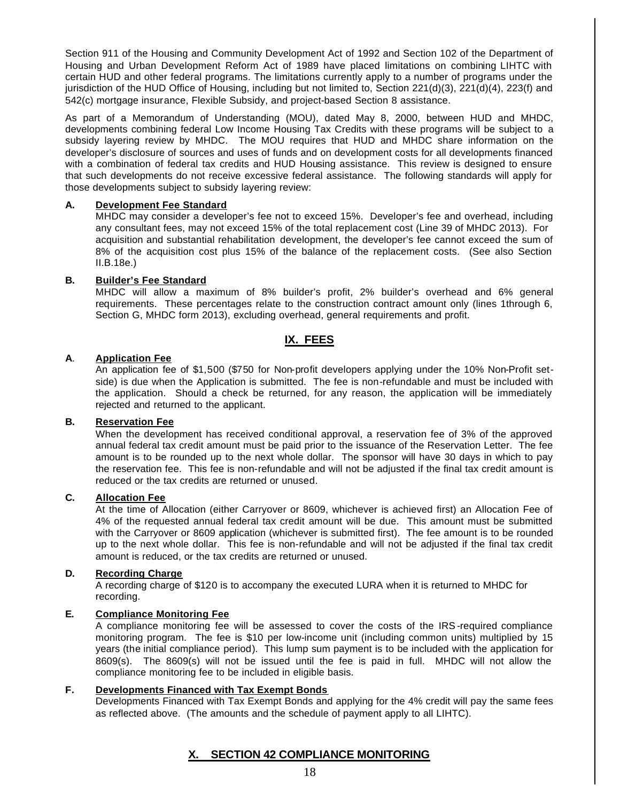Section 911 of the Housing and Community Development Act of 1992 and Section 102 of the Department of Housing and Urban Development Reform Act of 1989 have placed limitations on combining LIHTC with certain HUD and other federal programs. The limitations currently apply to a number of programs under the jurisdiction of the HUD Office of Housing, including but not limited to, Section 221(d)(3), 221(d)(4), 223(f) and 542(c) mortgage insurance, Flexible Subsidy, and project-based Section 8 assistance.

As part of a Memorandum of Understanding (MOU), dated May 8, 2000, between HUD and MHDC, developments combining federal Low Income Housing Tax Credits with these programs will be subject to a subsidy layering review by MHDC. The MOU requires that HUD and MHDC share information on the developer's disclosure of sources and uses of funds and on development costs for all developments financed with a combination of federal tax credits and HUD Housing assistance. This review is designed to ensure that such developments do not receive excessive federal assistance. The following standards will apply for those developments subject to subsidy layering review:

#### **A. Development Fee Standard**

MHDC may consider a developer's fee not to exceed 15%. Developer's fee and overhead, including any consultant fees, may not exceed 15% of the total replacement cost (Line 39 of MHDC 2013). For acquisition and substantial rehabilitation development, the developer's fee cannot exceed the sum of 8% of the acquisition cost plus 15% of the balance of the replacement costs. (See also Section II.B.18e.)

## **B. Builder's Fee Standard**

MHDC will allow a maximum of 8% builder's profit, 2% builder's overhead and 6% general requirements. These percentages relate to the construction contract amount only (lines 1through 6, Section G, MHDC form 2013), excluding overhead, general requirements and profit.

# **IX. FEES**

# **A**. **Application Fee**

An application fee of \$1,500 (\$750 for Non-profit developers applying under the 10% Non-Profit setside) is due when the Application is submitted. The fee is non-refundable and must be included with the application. Should a check be returned, for any reason, the application will be immediately rejected and returned to the applicant.

#### **B. Reservation Fee**

When the development has received conditional approval, a reservation fee of 3% of the approved annual federal tax credit amount must be paid prior to the issuance of the Reservation Letter. The fee amount is to be rounded up to the next whole dollar. The sponsor will have 30 days in which to pay the reservation fee. This fee is non-refundable and will not be adjusted if the final tax credit amount is reduced or the tax credits are returned or unused.

#### **C. Allocation Fee**

At the time of Allocation (either Carryover or 8609, whichever is achieved first) an Allocation Fee of 4% of the requested annual federal tax credit amount will be due. This amount must be submitted with the Carryover or 8609 application (whichever is submitted first). The fee amount is to be rounded up to the next whole dollar. This fee is non-refundable and will not be adjusted if the final tax credit amount is reduced, or the tax credits are returned or unused.

## **D. Recording Charge**

A recording charge of \$120 is to accompany the executed LURA when it is returned to MHDC for recording.

# **E. Compliance Monitoring Fee**

A compliance monitoring fee will be assessed to cover the costs of the IRS-required compliance monitoring program. The fee is \$10 per low-income unit (including common units) multiplied by 15 years (the initial compliance period). This lump sum payment is to be included with the application for 8609(s). The 8609(s) will not be issued until the fee is paid in full. MHDC will not allow the compliance monitoring fee to be included in eligible basis.

#### **F. Developments Financed with Tax Exempt Bonds**

Developments Financed with Tax Exempt Bonds and applying for the 4% credit will pay the same fees as reflected above. (The amounts and the schedule of payment apply to all LIHTC).

# **X. SECTION 42 COMPLIANCE MONITORING**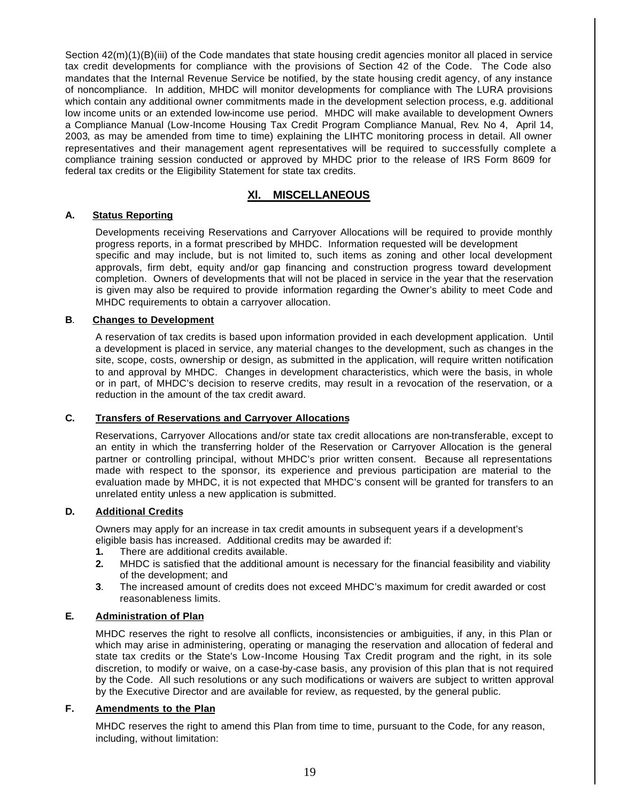Section 42(m)(1)(B)(iii) of the Code mandates that state housing credit agencies monitor all placed in service tax credit developments for compliance with the provisions of Section 42 of the Code. The Code also mandates that the Internal Revenue Service be notified, by the state housing credit agency, of any instance of noncompliance. In addition, MHDC will monitor developments for compliance with The LURA provisions which contain any additional owner commitments made in the development selection process, e.g. additional low income units or an extended low-income use period. MHDC will make available to development Owners a Compliance Manual (Low-Income Housing Tax Credit Program Compliance Manual, Rev. No 4, April 14, 2003, as may be amended from time to time) explaining the LIHTC monitoring process in detail. All owner representatives and their management agent representatives will be required to successfully complete a compliance training session conducted or approved by MHDC prior to the release of IRS Form 8609 for federal tax credits or the Eligibility Statement for state tax credits.

# **Xl. MISCELLANEOUS**

## **A. Status Reporting**

Developments receiving Reservations and Carryover Allocations will be required to provide monthly progress reports, in a format prescribed by MHDC. Information requested will be development specific and may include, but is not limited to, such items as zoning and other local development approvals, firm debt, equity and/or gap financing and construction progress toward development completion. Owners of developments that will not be placed in service in the year that the reservation is given may also be required to provide information regarding the Owner's ability to meet Code and MHDC requirements to obtain a carryover allocation.

#### **B**. **Changes to Development**

A reservation of tax credits is based upon information provided in each development application. Until a development is placed in service, any material changes to the development, such as changes in the site, scope, costs, ownership or design, as submitted in the application, will require written notification to and approval by MHDC. Changes in development characteristics, which were the basis, in whole or in part, of MHDC's decision to reserve credits, may result in a revocation of the reservation, or a reduction in the amount of the tax credit award.

#### **C. Transfers of Reservations and Carryover Allocations**

Reservations, Carryover Allocations and/or state tax credit allocations are non-transferable, except to an entity in which the transferring holder of the Reservation or Carryover Allocation is the general partner or controlling principal, without MHDC's prior written consent. Because all representations made with respect to the sponsor, its experience and previous participation are material to the evaluation made by MHDC, it is not expected that MHDC's consent will be granted for transfers to an unrelated entity unless a new application is submitted.

## **D. Additional Credits**

Owners may apply for an increase in tax credit amounts in subsequent years if a development's eligible basis has increased. Additional credits may be awarded if:

- **1.** There are additional credits available.
- **2.** MHDC is satisfied that the additional amount is necessary for the financial feasibility and viability of the development; and
- **3**. The increased amount of credits does not exceed MHDC's maximum for credit awarded or cost reasonableness limits.

#### **E. Administration of Plan**

MHDC reserves the right to resolve all conflicts, inconsistencies or ambiguities, if any, in this Plan or which may arise in administering, operating or managing the reservation and allocation of federal and state tax credits or the State's Low-Income Housing Tax Credit program and the right, in its sole discretion, to modify or waive, on a case-by-case basis, any provision of this plan that is not required by the Code. All such resolutions or any such modifications or waivers are subject to written approval by the Executive Director and are available for review, as requested, by the general public.

## **F. Amendments to the Plan**

MHDC reserves the right to amend this Plan from time to time, pursuant to the Code, for any reason, including, without limitation: